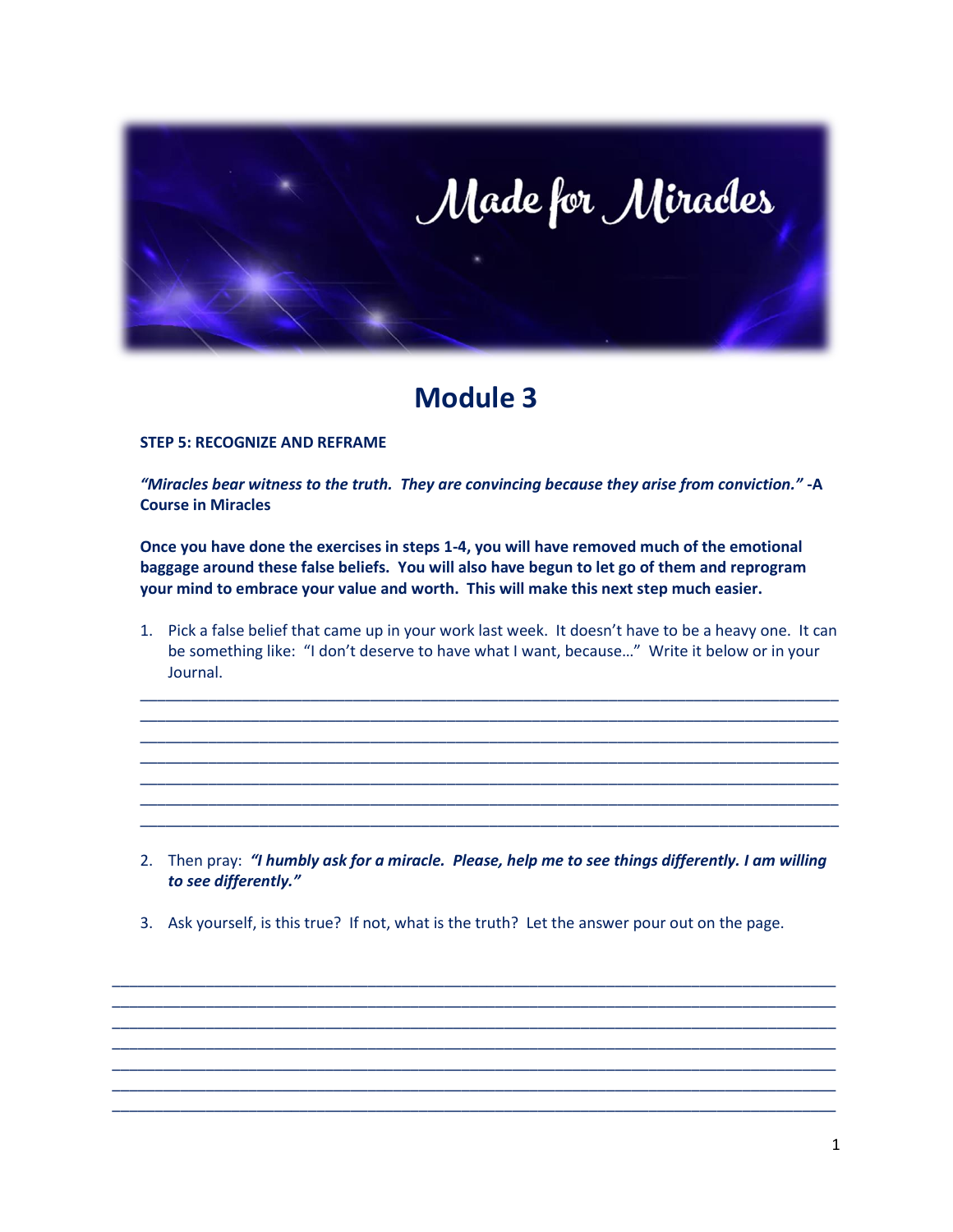

## **Module 3**

## **STEP 5: RECOGNIZE AND REFRAME**

*"Miracles bear witness to the truth. They are convincing because they arise from conviction."* **-A Course in Miracles**

**Once you have done the exercises in steps 1-4, you will have removed much of the emotional baggage around these false beliefs. You will also have begun to let go of them and reprogram your mind to embrace your value and worth. This will make this next step much easier.** 

1. Pick a false belief that came up in your work last week. It doesn't have to be a heavy one. It can be something like: "I don't deserve to have what I want, because…" Write it below or in your Journal.

\_\_\_\_\_\_\_\_\_\_\_\_\_\_\_\_\_\_\_\_\_\_\_\_\_\_\_\_\_\_\_\_\_\_\_\_\_\_\_\_\_\_\_\_\_\_\_\_\_\_\_\_\_\_\_\_\_\_\_\_\_\_\_\_\_\_\_\_\_\_\_\_\_\_\_\_\_\_\_\_\_\_ \_\_\_\_\_\_\_\_\_\_\_\_\_\_\_\_\_\_\_\_\_\_\_\_\_\_\_\_\_\_\_\_\_\_\_\_\_\_\_\_\_\_\_\_\_\_\_\_\_\_\_\_\_\_\_\_\_\_\_\_\_\_\_\_\_\_\_\_\_\_\_\_\_\_\_\_\_\_\_\_\_\_ \_\_\_\_\_\_\_\_\_\_\_\_\_\_\_\_\_\_\_\_\_\_\_\_\_\_\_\_\_\_\_\_\_\_\_\_\_\_\_\_\_\_\_\_\_\_\_\_\_\_\_\_\_\_\_\_\_\_\_\_\_\_\_\_\_\_\_\_\_\_\_\_\_\_\_\_\_\_\_\_\_\_ \_\_\_\_\_\_\_\_\_\_\_\_\_\_\_\_\_\_\_\_\_\_\_\_\_\_\_\_\_\_\_\_\_\_\_\_\_\_\_\_\_\_\_\_\_\_\_\_\_\_\_\_\_\_\_\_\_\_\_\_\_\_\_\_\_\_\_\_\_\_\_\_\_\_\_\_\_\_\_\_\_\_ \_\_\_\_\_\_\_\_\_\_\_\_\_\_\_\_\_\_\_\_\_\_\_\_\_\_\_\_\_\_\_\_\_\_\_\_\_\_\_\_\_\_\_\_\_\_\_\_\_\_\_\_\_\_\_\_\_\_\_\_\_\_\_\_\_\_\_\_\_\_\_\_\_\_\_\_\_\_\_\_\_\_ \_\_\_\_\_\_\_\_\_\_\_\_\_\_\_\_\_\_\_\_\_\_\_\_\_\_\_\_\_\_\_\_\_\_\_\_\_\_\_\_\_\_\_\_\_\_\_\_\_\_\_\_\_\_\_\_\_\_\_\_\_\_\_\_\_\_\_\_\_\_\_\_\_\_\_\_\_\_\_\_\_\_ \_\_\_\_\_\_\_\_\_\_\_\_\_\_\_\_\_\_\_\_\_\_\_\_\_\_\_\_\_\_\_\_\_\_\_\_\_\_\_\_\_\_\_\_\_\_\_\_\_\_\_\_\_\_\_\_\_\_\_\_\_\_\_\_\_\_\_\_\_\_\_\_\_\_\_\_\_\_\_\_\_\_

- 2. Then pray: *"I humbly ask for a miracle. Please, help me to see things differently. I am willing to see differently."*
- 3. Ask yourself, is this true? If not, what is the truth? Let the answer pour out on the page.

\_\_\_\_\_\_\_\_\_\_\_\_\_\_\_\_\_\_\_\_\_\_\_\_\_\_\_\_\_\_\_\_\_\_\_\_\_\_\_\_\_\_\_\_\_\_\_\_\_\_\_\_\_\_\_\_\_\_\_\_\_\_\_\_\_\_\_\_\_\_\_\_\_\_\_\_\_\_\_\_\_\_\_\_\_ \_\_\_\_\_\_\_\_\_\_\_\_\_\_\_\_\_\_\_\_\_\_\_\_\_\_\_\_\_\_\_\_\_\_\_\_\_\_\_\_\_\_\_\_\_\_\_\_\_\_\_\_\_\_\_\_\_\_\_\_\_\_\_\_\_\_\_\_\_\_\_\_\_\_\_\_\_\_\_\_\_\_\_\_\_ \_\_\_\_\_\_\_\_\_\_\_\_\_\_\_\_\_\_\_\_\_\_\_\_\_\_\_\_\_\_\_\_\_\_\_\_\_\_\_\_\_\_\_\_\_\_\_\_\_\_\_\_\_\_\_\_\_\_\_\_\_\_\_\_\_\_\_\_\_\_\_\_\_\_\_\_\_\_\_\_\_\_\_\_\_ \_\_\_\_\_\_\_\_\_\_\_\_\_\_\_\_\_\_\_\_\_\_\_\_\_\_\_\_\_\_\_\_\_\_\_\_\_\_\_\_\_\_\_\_\_\_\_\_\_\_\_\_\_\_\_\_\_\_\_\_\_\_\_\_\_\_\_\_\_\_\_\_\_\_\_\_\_\_\_\_\_\_\_\_\_ \_\_\_\_\_\_\_\_\_\_\_\_\_\_\_\_\_\_\_\_\_\_\_\_\_\_\_\_\_\_\_\_\_\_\_\_\_\_\_\_\_\_\_\_\_\_\_\_\_\_\_\_\_\_\_\_\_\_\_\_\_\_\_\_\_\_\_\_\_\_\_\_\_\_\_\_\_\_\_\_\_\_\_\_\_ \_\_\_\_\_\_\_\_\_\_\_\_\_\_\_\_\_\_\_\_\_\_\_\_\_\_\_\_\_\_\_\_\_\_\_\_\_\_\_\_\_\_\_\_\_\_\_\_\_\_\_\_\_\_\_\_\_\_\_\_\_\_\_\_\_\_\_\_\_\_\_\_\_\_\_\_\_\_\_\_\_\_\_\_\_ \_\_\_\_\_\_\_\_\_\_\_\_\_\_\_\_\_\_\_\_\_\_\_\_\_\_\_\_\_\_\_\_\_\_\_\_\_\_\_\_\_\_\_\_\_\_\_\_\_\_\_\_\_\_\_\_\_\_\_\_\_\_\_\_\_\_\_\_\_\_\_\_\_\_\_\_\_\_\_\_\_\_\_\_\_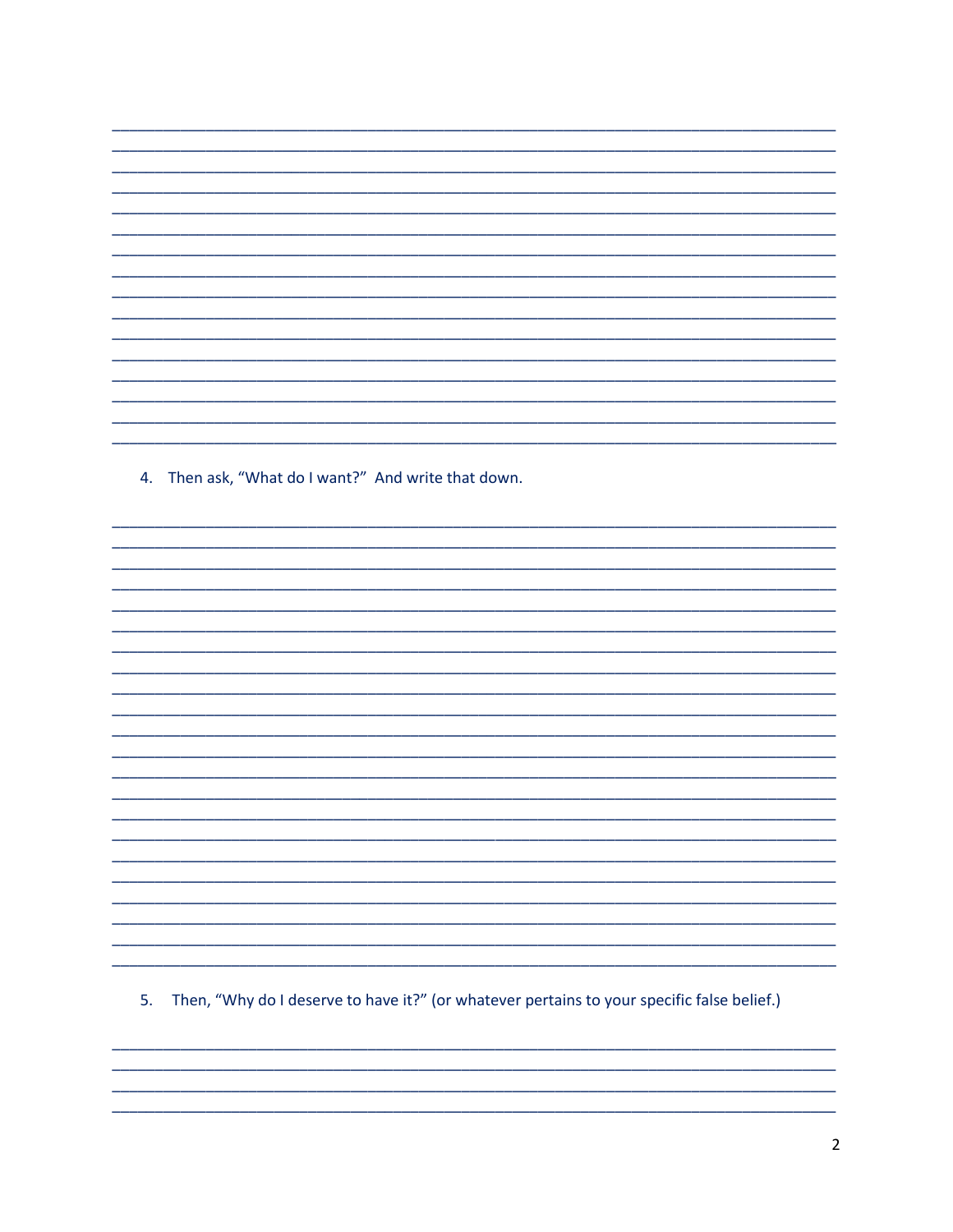4. Then ask, "What do I want?" And write that down.

5. Then, "Why do I deserve to have it?" (or whatever pertains to your specific false belief.)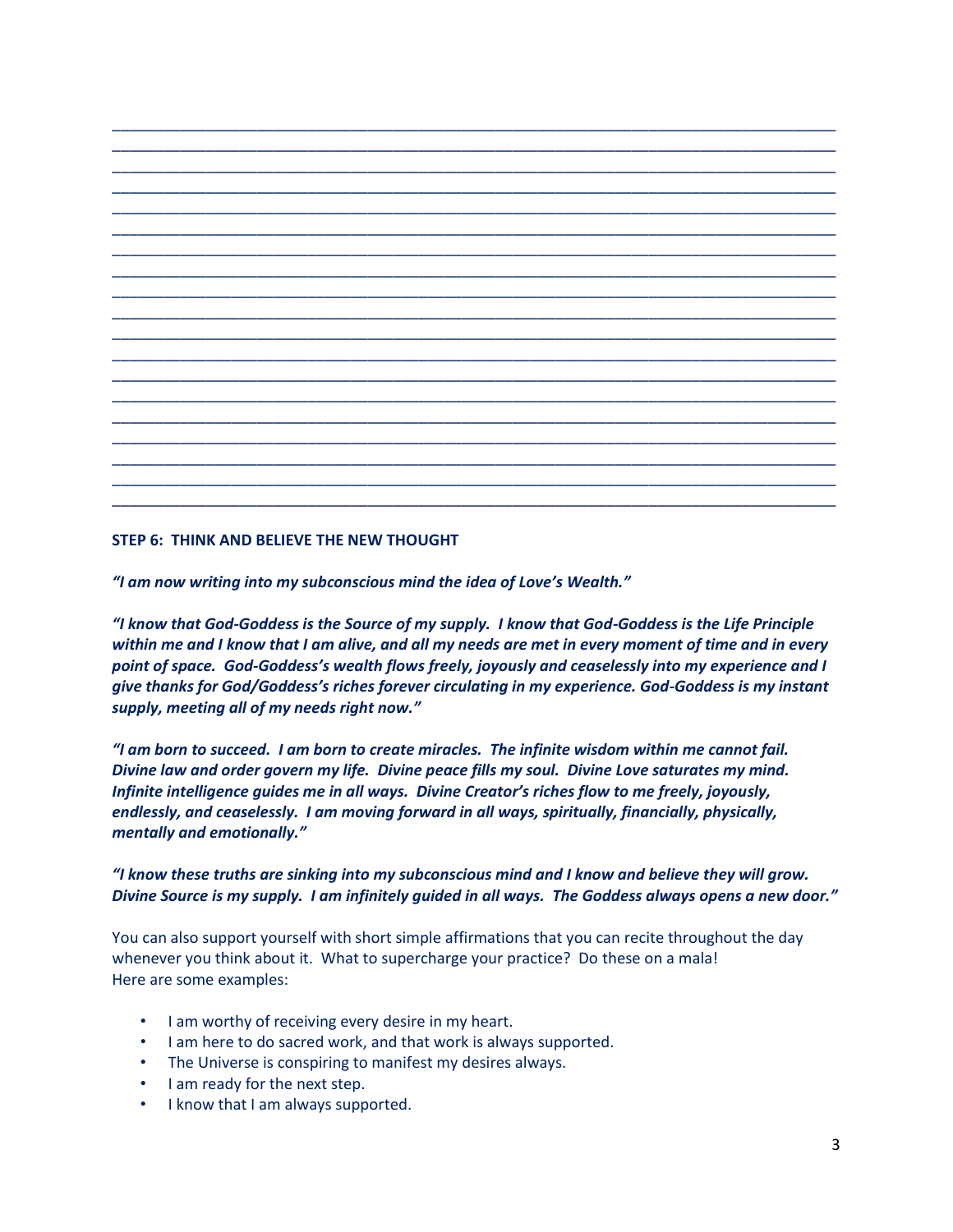## **STEP 6: THINK AND BELIEVE THE NEW THOUGHT**

*"I am now writing into my subconscious mind the idea of Love's Wealth."*

*"I know that God-Goddess is the Source of my supply. I know that God-Goddess is the Life Principle within me and I know that I am alive, and all my needs are met in every moment of time and in every point of space. God-Goddess's wealth flows freely, joyously and ceaselessly into my experience and I give thanks for God/Goddess's riches forever circulating in my experience. God-Goddess is my instant supply, meeting all of my needs right now."*

*"I am born to succeed. I am born to create miracles. The infinite wisdom within me cannot fail. Divine law and order govern my life. Divine peace fills my soul. Divine Love saturates my mind. Infinite intelligence guides me in all ways. Divine Creator's riches flow to me freely, joyously, endlessly, and ceaselessly. I am moving forward in all ways, spiritually, financially, physically, mentally and emotionally."*

## *"I know these truths are sinking into my subconscious mind and I know and believe they will grow. Divine Source is my supply. I am infinitely guided in all ways. The Goddess always opens a new door."*

You can also support yourself with short simple affirmations that you can recite throughout the day whenever you think about it. What to supercharge your practice? Do these on a mala! Here are some examples:

- I am worthy of receiving every desire in my heart.
- I am here to do sacred work, and that work is always supported.
- The Universe is conspiring to manifest my desires always.
- I am ready for the next step.
- I know that I am always supported.